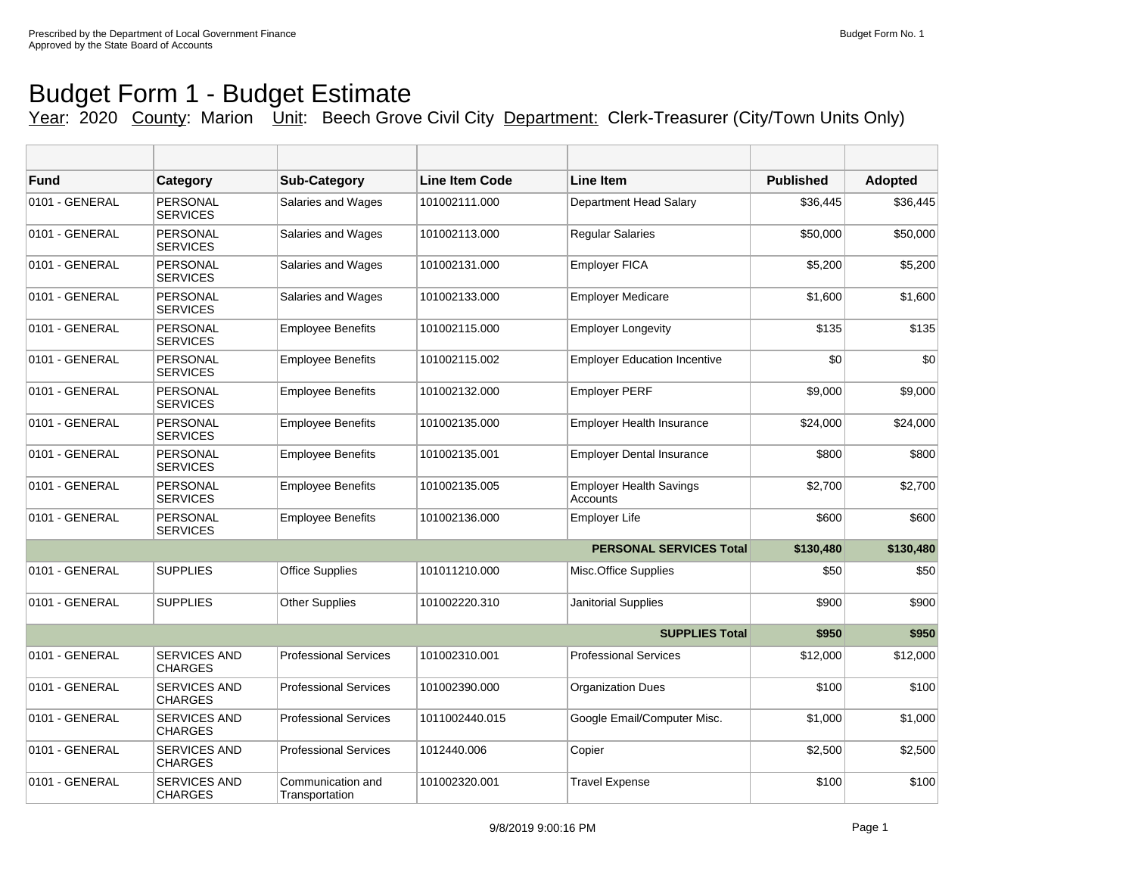## Budget Form 1 - Budget Estimate

Year: 2020 County: Marion Unit: Beech Grove Civil City Department: Clerk-Treasurer (City/Town Units Only)

| <b>Fund</b>    | Category                              | <b>Sub-Category</b>                 | Line Item Code | <b>Line Item</b>                           | <b>Published</b> | <b>Adopted</b> |
|----------------|---------------------------------------|-------------------------------------|----------------|--------------------------------------------|------------------|----------------|
| 0101 - GENERAL | PERSONAL<br><b>SERVICES</b>           | Salaries and Wages                  | 101002111.000  | Department Head Salary                     | \$36,445         | \$36,445       |
| 0101 - GENERAL | PERSONAL<br><b>SERVICES</b>           | Salaries and Wages                  | 101002113.000  | <b>Reqular Salaries</b>                    | \$50,000         | \$50,000       |
| 0101 - GENERAL | <b>PERSONAL</b><br><b>SERVICES</b>    | Salaries and Wages                  | 101002131.000  | <b>Employer FICA</b>                       | \$5,200          | \$5,200        |
| 0101 - GENERAL | PERSONAL<br><b>SERVICES</b>           | Salaries and Wages                  | 101002133.000  | <b>Employer Medicare</b>                   | \$1,600          | \$1,600        |
| 0101 - GENERAL | PERSONAL<br><b>SERVICES</b>           | <b>Employee Benefits</b>            | 101002115.000  | <b>Employer Longevity</b>                  | \$135            | \$135          |
| 0101 - GENERAL | <b>PERSONAL</b><br><b>SERVICES</b>    | <b>Employee Benefits</b>            | 101002115.002  | <b>Employer Education Incentive</b>        | \$0              | \$0            |
| 0101 - GENERAL | PERSONAL<br><b>SERVICES</b>           | <b>Employee Benefits</b>            | 101002132.000  | <b>Employer PERF</b>                       | \$9,000          | \$9,000        |
| 0101 - GENERAL | PERSONAL<br><b>SERVICES</b>           | <b>Employee Benefits</b>            | 101002135.000  | <b>Employer Health Insurance</b>           | \$24,000         | \$24,000       |
| 0101 - GENERAL | <b>PERSONAL</b><br><b>SERVICES</b>    | <b>Employee Benefits</b>            | 101002135.001  | <b>Employer Dental Insurance</b>           | \$800            | \$800          |
| 0101 - GENERAL | PERSONAL<br><b>SERVICES</b>           | <b>Employee Benefits</b>            | 101002135.005  | <b>Employer Health Savings</b><br>Accounts | \$2,700          | \$2,700        |
| 0101 - GENERAL | <b>PERSONAL</b><br><b>SERVICES</b>    | <b>Employee Benefits</b>            | 101002136.000  | Employer Life                              | \$600            | \$600          |
|                |                                       |                                     |                | <b>PERSONAL SERVICES Total</b>             | \$130,480        | \$130,480      |
| 0101 - GENERAL | <b>SUPPLIES</b>                       | <b>Office Supplies</b>              | 101011210.000  | Misc.Office Supplies                       | \$50             | \$50           |
| 0101 - GENERAL | <b>SUPPLIES</b>                       | <b>Other Supplies</b>               | 101002220.310  | <b>Janitorial Supplies</b>                 | \$900            | \$900          |
|                |                                       |                                     |                | <b>SUPPLIES Total</b>                      | \$950            | \$950          |
| 0101 - GENERAL | <b>SERVICES AND</b><br><b>CHARGES</b> | <b>Professional Services</b>        | 101002310.001  | <b>Professional Services</b>               | \$12,000         | \$12,000       |
| 0101 - GENERAL | <b>SERVICES AND</b><br><b>CHARGES</b> | <b>Professional Services</b>        | 101002390.000  | <b>Organization Dues</b>                   | \$100            | \$100          |
| 0101 - GENERAL | <b>SERVICES AND</b><br><b>CHARGES</b> | <b>Professional Services</b>        | 1011002440.015 | Google Email/Computer Misc.                | \$1,000          | \$1,000        |
| 0101 - GENERAL | SERVICES AND<br><b>CHARGES</b>        | <b>Professional Services</b>        | 1012440.006    | Copier                                     | \$2,500          | \$2,500        |
| 0101 - GENERAL | <b>SERVICES AND</b><br><b>CHARGES</b> | Communication and<br>Transportation | 101002320.001  | <b>Travel Expense</b>                      | \$100            | \$100          |